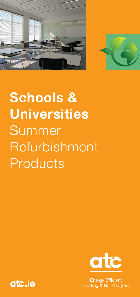



# **Schools & Universities** Summer Refurbishment Products



**Energy Efficient Heating & Hand Dryers** 

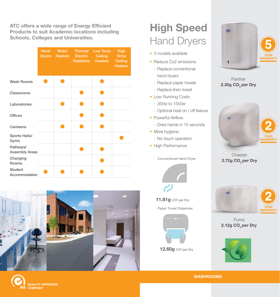**ATC offers a wide range of Energy Efficient Products to suit Academic locations including Schools, Colleges and Universities.** 

|                                    | Hand<br><b>Dryers</b> | Water<br><b>Heaters</b> | <b>Thermal</b><br>Electric<br>Radiators | Low Temp<br>Ceiling<br><b>Heaters</b> | High<br><b>Temp</b><br>Ceiling<br><b>Heaters</b> |
|------------------------------------|-----------------------|-------------------------|-----------------------------------------|---------------------------------------|--------------------------------------------------|
| <b>Wash Rooms</b>                  |                       |                         |                                         |                                       |                                                  |
| Classrooms                         |                       |                         |                                         |                                       |                                                  |
| Laboratories                       |                       |                         |                                         |                                       |                                                  |
| <b>Offices</b>                     |                       |                         |                                         |                                       |                                                  |
| Canteens                           |                       |                         |                                         |                                       |                                                  |
| Sports Halls/<br>Gyms              |                       |                         |                                         |                                       |                                                  |
| Hallways/<br><b>Assembly Areas</b> |                       |                         |                                         |                                       |                                                  |
| Changing<br>Rooms                  |                       |                         |                                         |                                       |                                                  |
| <b>Student</b><br>Accommodation    |                       |                         |                                         |                                       |                                                  |





## **High Speed** Hand Dryers

- 3 models available
- Reduce Co2 emissions
	- Replace conventional hand dryers
	- Replace paper towels
	- Replace linen towel
- Low Running Costs
	- 350w to 1550w
- Optional heat on / off feature
- Powerful Airflow
	- Dries hands in 15 seconds
- More hygienic
	- No touch operation
- High Performance

Conventional Hand Dryer





Paper Towel Dispenser



**12.60g** CO² per Dry



Panther **2.30g CO** per Dry



Cheetah **2.72g CO**<sub>2</sub> per Dry



Puma **2.12g CO**<sub>2</sub> per Dry



**WASHROOMS**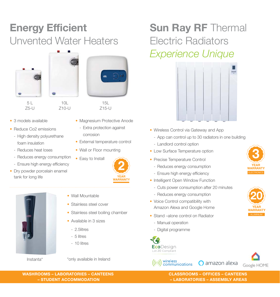### **Energy Efficient** Unvented Water Heaters







• Magnesium Protective Anode - Extra protection against

15L Z15-U

• External temperature control

• Wall or Floor mounting

corrosion

Z5-U

Z10-U

- 3 models available
- Reduce Co2 emissions
	- High density polyurethane foam insulation
	- Reduces heat loses
	- Reduces energy consumption
	- Ensure high energy efficiency
- Dry powder porcelain enamel tank for long life





- Wall Mountable
- Stainless steel cover
- Stainless steel boiling chamber
- Available in 3 sizes
	- 2.5litres
	- 5 litres
	- 10 litres

Instanta\* \*only available in Ireland

### **Sun Ray RF Thermal** Electric Radiators *Experience Unique*



- Wireless Control via Gateway and App
	- App can control up to 30 radiators in one building
	- Landlord control option
- Low Surface Temperature option
- Precise Temperature Control
	- Reduces energy consumption
	- Ensure high energy efficiency
- Intelligent Open Window Function
	- Cuts power consumption after 20 minutes
	- Reduces energy consumption
- Voice Control compatibility with Amazon Alexa and Google Home
- Stand –alone control on Radiator
	- Manual operation
	- Digital programme

 $((\cdot))$  wireless<br>communications





**CLASSROOMS – OFFICES – CANTEENS**  $-$  **LABORATORIES – ASSEMBLY AREAS** 





**WASHROOMS – LABORATORIES – CANTEENS - STUDENT ACCOMMODATION**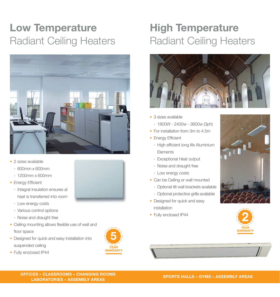### **Low Temperature** Radiant Ceiling Heaters



- 2 sizes available
	- 600mm x 600mm
	- 1200mm x 600mm
- Energy Efficient
	- Integral insulation ensures all heat is transferred into room
	- Low energy costs

• Fully enclosed IP44

- Various control options
- Noise and draught free
- $\bullet$  Ceiling mounting allows flexible use of wall and floor space
- Designed for quick and easy installation into suspended ceiling



#### **High Temperature** Radiant Ceiling Heaters



- 3 sizes available
	- 1800W 2400w 3600w (3ph)
- For installation from 3m to 4.5m
- Energy Efficient
	- High efficient long life Aluminium Elements
	- Exceptional Heat output
	- Noise and draught free
- Low energy costs
- Can be Ceiling or wall mounted
	- Optional tilt wall brackets available
	- Optional protective grille available
- Designed for quick and easy installation
- Fully enclosed IP44





**OFFICES - CLASSROOMS - CHANGING ROOMS LABORATORIES - ASSEMBLY AREAS**